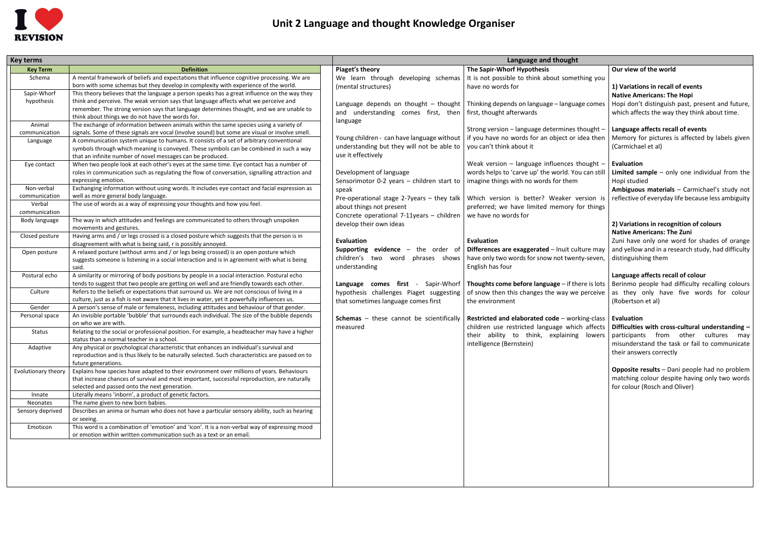

## **Unit 2 Language and thought Knowledge Organiser**

| <b>Key terms</b>        |                                                                                                                                                                                          |                                                                      | Language and thought                                                                  |                                                                                                                                              |
|-------------------------|------------------------------------------------------------------------------------------------------------------------------------------------------------------------------------------|----------------------------------------------------------------------|---------------------------------------------------------------------------------------|----------------------------------------------------------------------------------------------------------------------------------------------|
| <b>Key Term</b>         | <b>Definition</b>                                                                                                                                                                        | Piaget's theory                                                      | The Sapir-Whorf Hypothesis                                                            | Our view of the world                                                                                                                        |
| Schema                  | A mental framework of beliefs and expectations that influence cognitive processing. We are                                                                                               | We learn through developing schemas                                  | It is not possible to think about something you                                       |                                                                                                                                              |
|                         | born with some schemas but they develop in complexity with experience of the world.                                                                                                      | (mental structures)                                                  | have no words for                                                                     | 1) Variations in recall of events                                                                                                            |
| Sapir-Whorf             | This theory believes that the language a person speaks has a great influence on the way they                                                                                             |                                                                      |                                                                                       | <b>Native Americans: The Hopi</b>                                                                                                            |
| hypothesis              | think and perceive. The weak version says that language affects what we perceive and                                                                                                     |                                                                      | Language depends on thought – thought   Thinking depends on language – language comes | Hopi don't distinguish past, present and future,                                                                                             |
|                         | remember. The strong version says that language determines thought, and we are unable to                                                                                                 | and understanding comes first, then $\int$ first, thought afterwards |                                                                                       | which affects the way they think about time.                                                                                                 |
|                         | think about things we do not have the words for.                                                                                                                                         | language                                                             |                                                                                       |                                                                                                                                              |
| Animal<br>communication | The exchange of information between animals within the same species using a variety of<br>signals. Some of these signals are vocal (involve sound) but some are visual or involve smell. |                                                                      | Strong version - language determines thought -                                        | Language affects recall of events                                                                                                            |
| Language                | A communication system unique to humans. It consists of a set of arbitrary conventional                                                                                                  | Young children - can have language without                           | if you have no words for an object or idea then                                       | Memory for pictures is affected by labels given                                                                                              |
|                         | symbols through which meaning is conveyed. These symbols can be combined in such a way                                                                                                   | understanding but they will not be able to                           | you can't think about it                                                              | (Carmichael et al)                                                                                                                           |
|                         | that an infinite number of novel messages can be produced.                                                                                                                               | use it effectively                                                   |                                                                                       |                                                                                                                                              |
| Eye contact             | When two people look at each other's eyes at the same time. Eye contact has a number of                                                                                                  |                                                                      | Weak version - language influences thought -                                          | Evaluation                                                                                                                                   |
|                         | roles in communication such as regulating the flow of conversation, signalling attraction and                                                                                            | Development of language                                              | words helps to 'carve up' the world. You can still                                    | Limited sample $-$ only one individual from the                                                                                              |
|                         | expressing emotion.                                                                                                                                                                      | Sensorimotor 0-2 years - children start to                           | imagine things with no words for them                                                 | Hopi studied                                                                                                                                 |
| Non-verbal              | Exchanging information without using words. It includes eye contact and facial expression as                                                                                             | speak                                                                |                                                                                       | Ambiguous materials - Carmichael's study not                                                                                                 |
| communication           | well as more general body language.                                                                                                                                                      |                                                                      |                                                                                       | Pre-operational stage 2-7years – they talk   Which version is better? Weaker version is   reflective of everyday life because less ambiguity |
| Verbal                  | The use of words as a way of expressing your thoughts and how you feel.                                                                                                                  | about things not present                                             | preferred; we have limited memory for things                                          |                                                                                                                                              |
| communication           |                                                                                                                                                                                          | Concrete operational 7-11years - children                            | we have no words for                                                                  |                                                                                                                                              |
| Body language           | The way in which attitudes and feelings are communicated to others through unspoken                                                                                                      | develop their own ideas                                              |                                                                                       | 2) Variations in recognition of colours                                                                                                      |
|                         | movements and gestures.                                                                                                                                                                  |                                                                      |                                                                                       | <b>Native Americans: The Zuni</b>                                                                                                            |
| Closed posture          | Having arms and / or legs crossed is a closed posture which suggests that the person is in<br>disagreement with what is being said, r is possibly annoyed.                               | <b>Evaluation</b>                                                    | <b>Evaluation</b>                                                                     | Zuni have only one word for shades of orange                                                                                                 |
| Open posture            | A relaxed posture (without arms and / or legs being crossed) is an open posture which                                                                                                    | Supporting evidence -<br>the order of                                | Differences are exaggerated - Inuit culture may                                       | and yellow and in a research study, had difficulty                                                                                           |
|                         | suggests someone is listening in a social interaction and is in agreement with what is being                                                                                             | children's two word<br>phrases shows                                 | have only two words for snow not twenty-seven,                                        | distinguishing them                                                                                                                          |
|                         | said.                                                                                                                                                                                    | understanding                                                        | English has four                                                                      |                                                                                                                                              |
| Postural echo           | A similarity or mirroring of body positions by people in a social interaction. Postural echo                                                                                             |                                                                      |                                                                                       | Language affects recall of colour                                                                                                            |
|                         | tends to suggest that two people are getting on well and are friendly towards each other.                                                                                                | Language comes first - Sapir-Whorf                                   | Thoughts come before language - if there is lots                                      | Berinmo people had difficulty recalling colours                                                                                              |
| Culture                 | Refers to the beliefs or expectations that surround us. We are not conscious of living in a                                                                                              | hypothesis challenges Piaget suggesting                              | of snow then this changes the way we perceive                                         | as they only have five words for colour                                                                                                      |
|                         | culture, just as a fish is not aware that it lives in water, yet it powerfully influences us.                                                                                            | that sometimes language comes first                                  | the environment                                                                       | (Robertson et al)                                                                                                                            |
| Gender                  | A person's sense of male or femaleness, including attitudes and behaviour of that gender.                                                                                                |                                                                      |                                                                                       |                                                                                                                                              |
| Personal space          | An invisible portable 'bubble' that surrounds each individual. The size of the bubble depends                                                                                            | <b>Schemas</b> - these cannot be scientifically                      | Restricted and elaborated code - working-class                                        | <b>Evaluation</b>                                                                                                                            |
|                         | on who we are with.                                                                                                                                                                      | measured                                                             | children use restricted language which affects                                        | Difficulties with cross-cultural understanding -                                                                                             |
| Status                  | Relating to the social or professional position. For example, a headteacher may have a higher                                                                                            |                                                                      |                                                                                       | their ability to think, explaining lowers participants from other cultures may                                                               |
|                         | status than a normal teacher in a school.<br>Any physical or psychological characteristic that enhances an individual's survival and                                                     |                                                                      | intelligence (Bernstein)                                                              | misunderstand the task or fail to communicate                                                                                                |
| Adaptive                | reproduction and is thus likely to be naturally selected. Such characteristics are passed on to                                                                                          |                                                                      |                                                                                       | their answers correctly                                                                                                                      |
|                         | future generations.                                                                                                                                                                      |                                                                      |                                                                                       |                                                                                                                                              |
| Evolutionary theory     | Explains how species have adapted to their environment over millions of years. Behaviours                                                                                                |                                                                      |                                                                                       | <b>Opposite results</b> – Dani people had no problem                                                                                         |
|                         | that increase chances of survival and most important, successful reproduction, are naturally                                                                                             |                                                                      |                                                                                       | matching colour despite having only two words                                                                                                |
|                         | selected and passed onto the next generation.                                                                                                                                            |                                                                      |                                                                                       | for colour (Rosch and Oliver)                                                                                                                |
| Innate                  | Literally means 'inborn', a product of genetic factors.                                                                                                                                  |                                                                      |                                                                                       |                                                                                                                                              |
| Neonates                | The name given to new born babies.                                                                                                                                                       |                                                                      |                                                                                       |                                                                                                                                              |
| Sensory deprived        | Describes an anima or human who does not have a particular sensory ability, such as hearing                                                                                              |                                                                      |                                                                                       |                                                                                                                                              |
|                         | or seeing.                                                                                                                                                                               |                                                                      |                                                                                       |                                                                                                                                              |
| Emoticon                | This word is a combination of 'emotion' and 'icon'. It is a non-verbal way of expressing mood                                                                                            |                                                                      |                                                                                       |                                                                                                                                              |
|                         | or emotion within written communication such as a text or an email.                                                                                                                      |                                                                      |                                                                                       |                                                                                                                                              |
|                         |                                                                                                                                                                                          |                                                                      |                                                                                       |                                                                                                                                              |
|                         |                                                                                                                                                                                          |                                                                      |                                                                                       |                                                                                                                                              |
|                         |                                                                                                                                                                                          |                                                                      |                                                                                       |                                                                                                                                              |
|                         |                                                                                                                                                                                          |                                                                      |                                                                                       |                                                                                                                                              |
|                         |                                                                                                                                                                                          |                                                                      |                                                                                       |                                                                                                                                              |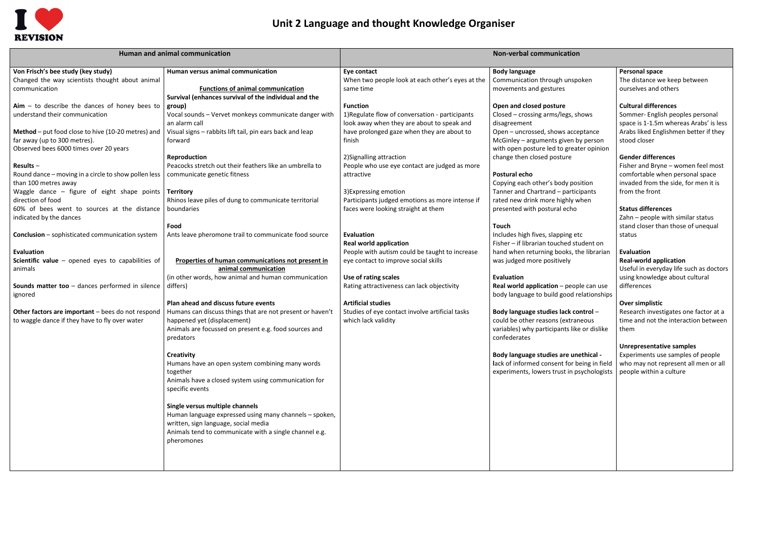

## **Unit 2 Language and thought Knowledge Organiser**

|                                                                                                                                                                                                                                                                                                                                                                                                                                                                                                                                                                                                                                                                                                                                                                                 | Human and animal communication                                                                                                                                                                                                                                                                                                                                                                                                                                                                                                                                                                                                                                                                                                                                                                                                                                                                                                           | <b>Non-verbal communication</b>                                                                                                                                                                                                                                                                                                                                                                                                                                                                                                                                                                                                                                                                                     |                                                                                                                                                                                                                                                                                                                                                                                                                                                                                                                                                                                                                                                                                                                                                                                                                                                                                                                                                                      |                                                                                                                                                                                                                                                                                                                                                                                                                                                                                                                                                                                                                                                                                                                                                                                                                                                               |
|---------------------------------------------------------------------------------------------------------------------------------------------------------------------------------------------------------------------------------------------------------------------------------------------------------------------------------------------------------------------------------------------------------------------------------------------------------------------------------------------------------------------------------------------------------------------------------------------------------------------------------------------------------------------------------------------------------------------------------------------------------------------------------|------------------------------------------------------------------------------------------------------------------------------------------------------------------------------------------------------------------------------------------------------------------------------------------------------------------------------------------------------------------------------------------------------------------------------------------------------------------------------------------------------------------------------------------------------------------------------------------------------------------------------------------------------------------------------------------------------------------------------------------------------------------------------------------------------------------------------------------------------------------------------------------------------------------------------------------|---------------------------------------------------------------------------------------------------------------------------------------------------------------------------------------------------------------------------------------------------------------------------------------------------------------------------------------------------------------------------------------------------------------------------------------------------------------------------------------------------------------------------------------------------------------------------------------------------------------------------------------------------------------------------------------------------------------------|----------------------------------------------------------------------------------------------------------------------------------------------------------------------------------------------------------------------------------------------------------------------------------------------------------------------------------------------------------------------------------------------------------------------------------------------------------------------------------------------------------------------------------------------------------------------------------------------------------------------------------------------------------------------------------------------------------------------------------------------------------------------------------------------------------------------------------------------------------------------------------------------------------------------------------------------------------------------|---------------------------------------------------------------------------------------------------------------------------------------------------------------------------------------------------------------------------------------------------------------------------------------------------------------------------------------------------------------------------------------------------------------------------------------------------------------------------------------------------------------------------------------------------------------------------------------------------------------------------------------------------------------------------------------------------------------------------------------------------------------------------------------------------------------------------------------------------------------|
| Von Frisch's bee study (key study)<br>Changed the way scientists thought about animal<br>communication                                                                                                                                                                                                                                                                                                                                                                                                                                                                                                                                                                                                                                                                          | Human versus animal communication<br><b>Functions of animal communication</b><br>Survival (enhances survival of the individual and the                                                                                                                                                                                                                                                                                                                                                                                                                                                                                                                                                                                                                                                                                                                                                                                                   | Eye contact<br>When two people look at each other's eyes at the<br>same time                                                                                                                                                                                                                                                                                                                                                                                                                                                                                                                                                                                                                                        | <b>Body language</b><br>Communication through unspoken<br>movements and gestures                                                                                                                                                                                                                                                                                                                                                                                                                                                                                                                                                                                                                                                                                                                                                                                                                                                                                     | <b>Personal space</b><br>The distance we keep between<br>ourselves and others                                                                                                                                                                                                                                                                                                                                                                                                                                                                                                                                                                                                                                                                                                                                                                                 |
| $Aim - to describe the dances of honey bees to$<br>understand their communication<br>Method - put food close to hive (10-20 metres) and<br>far away (up to 300 metres).<br>Observed bees 6000 times over 20 years<br>Results $-$<br>Round dance - moving in a circle to show pollen less<br>than 100 metres away<br>Waggle dance $-$ figure of eight shape points<br>direction of food<br>60% of bees went to sources at the distance<br>indicated by the dances<br><b>Conclusion</b> – sophisticated communication system<br>Evaluation<br>Scientific value $-$ opened eyes to capabilities of<br>animals<br>Sounds matter too - dances performed in silence<br>ignored<br>Other factors are important - bees do not respond<br>to waggle dance if they have to fly over water | group)<br>Vocal sounds - Vervet monkeys communicate danger with<br>an alarm call<br>Visual signs - rabbits lift tail, pin ears back and leap<br>forward<br>Reproduction<br>Peacocks stretch out their feathers like an umbrella to<br>communicate genetic fitness<br>Territory<br>Rhinos leave piles of dung to communicate territorial<br>boundaries<br>Food<br>Ants leave pheromone trail to communicate food source<br>Properties of human communications not present in<br>animal communication<br>(in other words, how animal and human communication<br>differs)<br>Plan ahead and discuss future events<br>Humans can discuss things that are not present or haven't<br>happened yet (displacement)<br>Animals are focussed on present e.g. food sources and<br>predators<br>Creativity<br>Humans have an open system combining many words<br>together<br>Animals have a closed system using communication for<br>specific events | <b>Function</b><br>1) Regulate flow of conversation - participants<br>look away when they are about to speak and<br>have prolonged gaze when they are about to<br>finish<br>2) Signalling attraction<br>People who use eye contact are judged as more<br>attractive<br>3) Expressing emotion<br>Participants judged emotions as more intense if<br>faces were looking straight at them<br><b>Evaluation</b><br><b>Real world application</b><br>People with autism could be taught to increase<br>eye contact to improve social skills<br>Use of rating scales<br>Rating attractiveness can lack objectivity<br><b>Artificial studies</b><br>Studies of eye contact involve artificial tasks<br>which lack validity | Open and closed posture<br>Closed – crossing arms/legs, shows<br>disagreement<br>Open - uncrossed, shows acceptance<br>McGinley - arguments given by person<br>with open posture led to greater opinion<br>change then closed posture<br>Postural echo<br>Copying each other's body position<br>Tanner and Chartrand - participants<br>rated new drink more highly when<br>presented with postural echo<br>Touch<br>Includes high fives, slapping etc<br>Fisher - if librarian touched student on<br>hand when returning books, the librarian<br>was judged more positively<br>Evaluation<br>Real world application - people can use<br>body language to build good relationships<br>Body language studies lack control -<br>could be other reasons (extraneous<br>variables) why participants like or dislike<br>confederates<br>Body language studies are unethical -<br>lack of informed consent for being in field<br>experiments, lowers trust in psychologists | <b>Cultural differences</b><br>Sommer- English peoples personal<br>space is 1-1.5m whereas Arabs' is less<br>Arabs liked Englishmen better if they<br>stood closer<br><b>Gender differences</b><br>Fisher and Bryne - women feel most<br>comfortable when personal space<br>invaded from the side, for men it is<br>from the front<br><b>Status differences</b><br>Zahn - people with similar status<br>stand closer than those of unequal<br>status<br><b>Evaluation</b><br><b>Real-world application</b><br>Useful in everyday life such as doctors<br>using knowledge about cultural<br>differences<br>Over simplistic<br>Research investigates one factor at a<br>time and not the interaction between<br>them<br><b>Unrepresentative samples</b><br>Experiments use samples of people<br>who may not represent all men or all<br>people within a culture |
|                                                                                                                                                                                                                                                                                                                                                                                                                                                                                                                                                                                                                                                                                                                                                                                 | Single versus multiple channels<br>Human language expressed using many channels - spoken,<br>written, sign language, social media<br>Animals tend to communicate with a single channel e.g.<br>pheromones                                                                                                                                                                                                                                                                                                                                                                                                                                                                                                                                                                                                                                                                                                                                |                                                                                                                                                                                                                                                                                                                                                                                                                                                                                                                                                                                                                                                                                                                     |                                                                                                                                                                                                                                                                                                                                                                                                                                                                                                                                                                                                                                                                                                                                                                                                                                                                                                                                                                      |                                                                                                                                                                                                                                                                                                                                                                                                                                                                                                                                                                                                                                                                                                                                                                                                                                                               |
|                                                                                                                                                                                                                                                                                                                                                                                                                                                                                                                                                                                                                                                                                                                                                                                 |                                                                                                                                                                                                                                                                                                                                                                                                                                                                                                                                                                                                                                                                                                                                                                                                                                                                                                                                          |                                                                                                                                                                                                                                                                                                                                                                                                                                                                                                                                                                                                                                                                                                                     |                                                                                                                                                                                                                                                                                                                                                                                                                                                                                                                                                                                                                                                                                                                                                                                                                                                                                                                                                                      |                                                                                                                                                                                                                                                                                                                                                                                                                                                                                                                                                                                                                                                                                                                                                                                                                                                               |